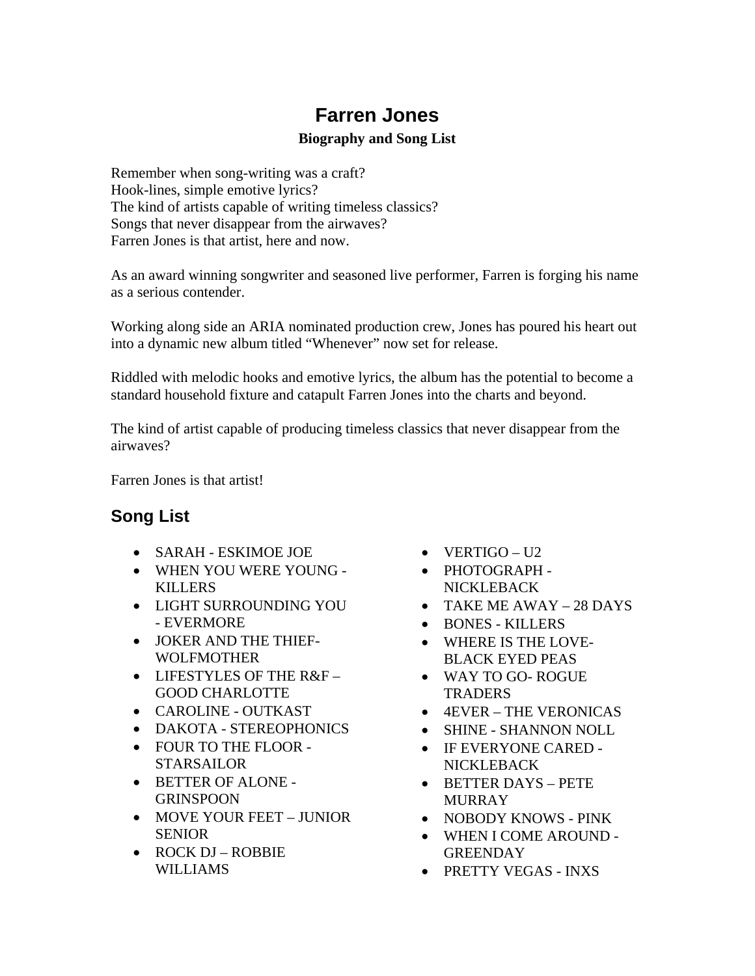## **Farren Jones**

## **Biography and Song List**

Remember when song-writing was a craft? Hook-lines, simple emotive lyrics? The kind of artists capable of writing timeless classics? Songs that never disappear from the airwaves? Farren Jones is that artist, here and now.

As an award winning songwriter and seasoned live performer, Farren is forging his name as a serious contender.

Working along side an ARIA nominated production crew, Jones has poured his heart out into a dynamic new album titled "Whenever" now set for release.

Riddled with melodic hooks and emotive lyrics, the album has the potential to become a standard household fixture and catapult Farren Jones into the charts and beyond.

The kind of artist capable of producing timeless classics that never disappear from the airwaves?

Farren Jones is that artist!

## **Song List**

- SARAH ESKIMOE JOE
- WHEN YOU WERE YOUNG KILLERS
- LIGHT SURROUNDING YOU - EVERMORE
- JOKER AND THE THIEF-WOLFMOTHER
- LIFESTYLES OF THE R&F GOOD CHARLOTTE
- CAROLINE OUTKAST
- DAKOTA STEREOPHONICS
- FOUR TO THE FLOOR STARSAILOR
- BETTER OF ALONE GRINSPOON
- MOVE YOUR FEET JUNIOR SENIOR
- ROCK DJ ROBBIE WILLIAMS
- VERTIGO U2
- PHOTOGRAPH NICKLEBACK
- TAKE ME AWAY 28 DAYS
- BONES KILLERS
- WHERE IS THE LOVE-BLACK EYED PEAS
- WAY TO GO- ROGUE **TRADERS**
- 4EVER THE VERONICAS
- SHINE SHANNON NOLL
- IF EVERYONE CARED NICKLEBACK
- BETTER DAYS PETE MURRAY
- NOBODY KNOWS PINK
- WHEN I COME AROUND **GREENDAY**
- PRETTY VEGAS INXS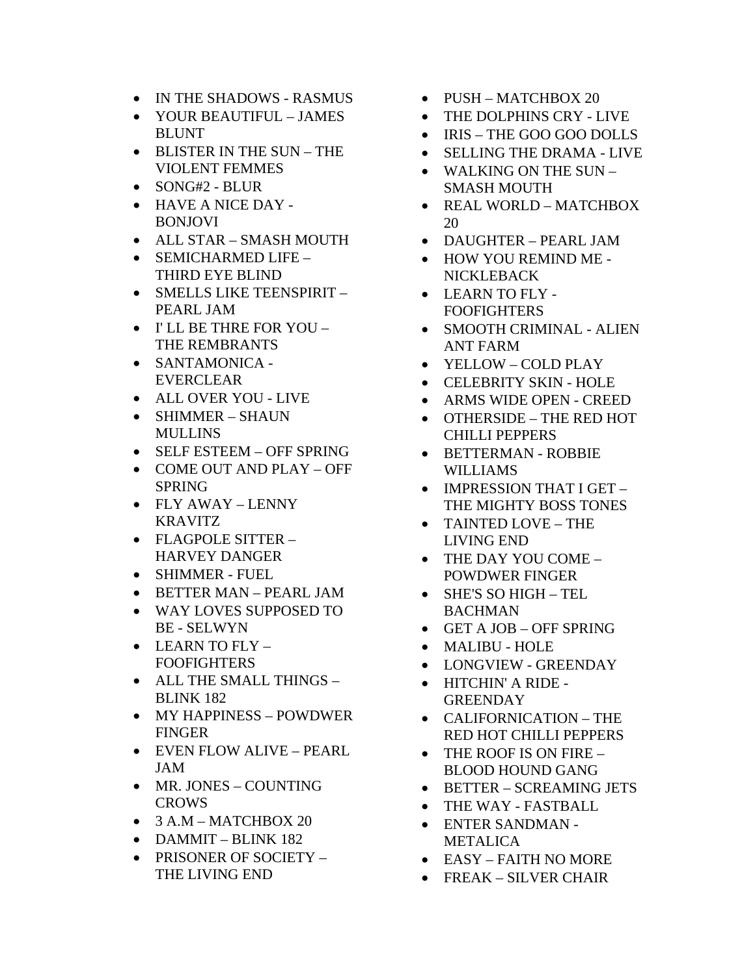- IN THE SHADOWS RASMUS
- YOUR BEAUTIFUL JAMES BLUNT
- BLISTER IN THE SUN THE VIOLENT FEMMES
- SONG#2 BLUR
- HAVE A NICE DAY BONJOVI
- ALL STAR SMASH MOUTH
- SEMICHARMED LIFE THIRD EYE BLIND
- SMELLS LIKE TEENSPIRIT -PEARL JAM
- I' LL BE THRE FOR YOU THE REMBRANTS
- SANTAMONICA EVERCLEAR
- ALL OVER YOU LIVE
- SHIMMER SHAUN **MULLINS**
- SELF ESTEEM OFF SPRING
- COME OUT AND PLAY OFF SPRING
- FLY AWAY LENNY KRAVITZ
- FLAGPOLE SITTER HARVEY DANGER
- SHIMMER FUEL
- BETTER MAN PEARL JAM
- WAY LOVES SUPPOSED TO BE - SELWYN
- LEARN TO FLY FOOFIGHTERS
- ALL THE SMALL THINGS BLINK 182
- MY HAPPINESS POWDWER FINGER
- EVEN FLOW ALIVE PEARL JAM
- MR. JONES COUNTING CROWS
- $\bullet$  3 A.M MATCHBOX 20
- DAMMIT BLINK 182
- PRISONER OF SOCIETY THE LIVING END
- PUSH MATCHBOX 20
- THE DOLPHINS CRY LIVE
- IRIS THE GOO GOO DOLLS
- SELLING THE DRAMA LIVE
- WALKING ON THE SUN SMASH MOUTH
- REAL WORLD MATCHBOX 20
- DAUGHTER PEARL JAM
- HOW YOU REMIND ME NICKLEBACK
- LEARN TO FLY FOOFIGHTERS
- SMOOTH CRIMINAL ALIEN ANT FARM
- YELLOW COLD PLAY
- CELEBRITY SKIN HOLE
- ARMS WIDE OPEN CREED
- OTHERSIDE THE RED HOT CHILLI PEPPERS
- BETTERMAN ROBBIE WILLIAMS
- IMPRESSION THAT I GET THE MIGHTY BOSS TONES
- TAINTED LOVE THE LIVING END
- THE DAY YOU COME POWDWER FINGER
- SHE'S SO HIGH TEL BACHMAN
- GET A JOB OFF SPRING
- MALIBU HOLE
- LONGVIEW GREENDAY
- HITCHIN' A RIDE **GREENDAY**
- CALIFORNICATION THE RED HOT CHILLI PEPPERS
- THE ROOF IS ON FIRE BLOOD HOUND GANG
- BETTER SCREAMING JETS
- THE WAY FASTBALL
- ENTER SANDMAN METALICA
- EASY FAITH NO MORE
- FREAK SILVER CHAIR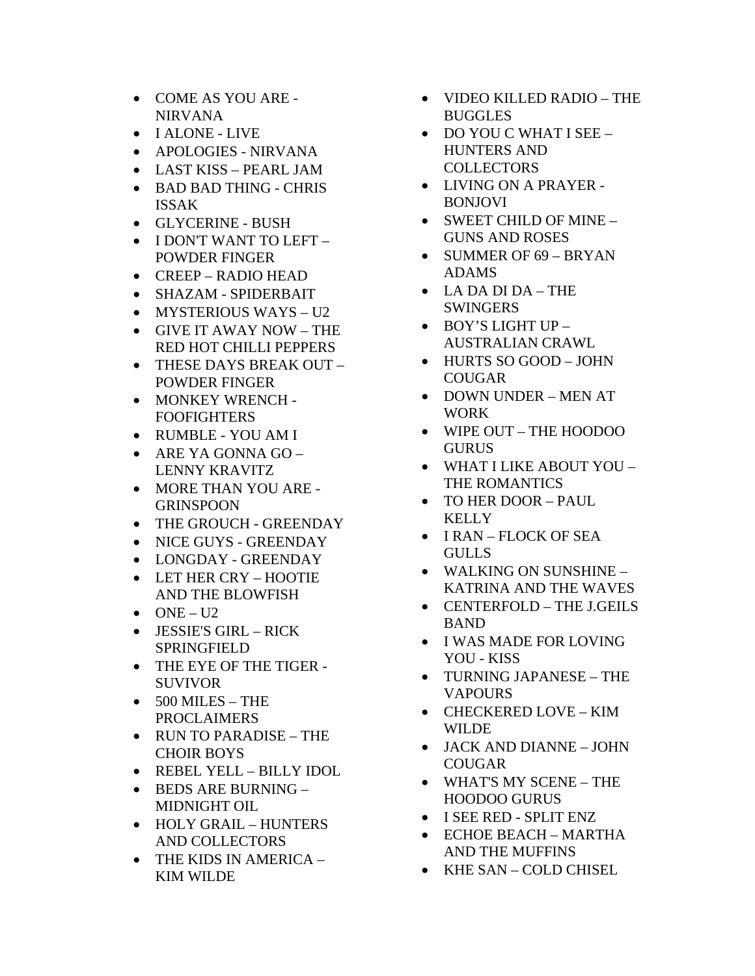- COME AS YOU ARE NIRVANA
- I ALONE LIVE
- APOLOGIES NIRVANA
- LAST KISS PEARL JAM
- BAD BAD THING CHRIS ISSAK
- GLYCERINE BUSH
- I DON'T WANT TO LEFT POWDER FINGER
- CREEP RADIO HEAD
- SHAZAM SPIDERBAIT
- MYSTERIOUS WAYS U2
- GIVE IT AWAY NOW THE RED HOT CHILLI PEPPERS
- THESE DAYS BREAK OUT POWDER FINGER
- MONKEY WRENCH **FOOFIGHTERS**
- RUMBLE YOU AM I
- ARE YA GONNA GO LENNY KRAVITZ
- MORE THAN YOU ARE GRINSPOON
- THE GROUCH GREENDAY
- NICE GUYS GREENDAY
- LONGDAY GREENDAY
- LET HER CRY HOOTIE AND THE BLOWFISH
- $\bullet$  ONE U2
- JESSIE'S GIRL RICK SPRINGFIELD
- THE EYE OF THE TIGER SUVIVOR
- 500 MILES THE PROCLAIMERS
- RUN TO PARADISE THE CHOIR BOYS
- REBEL YELL BILLY IDOL
- BEDS ARE BURNING MIDNIGHT OIL
- HOLY GRAIL HUNTERS AND COLLECTORS
- THE KIDS IN AMERICA KIM WILDE
- VIDEO KILLED RADIO THE BUGGLES
- DO YOU C WHAT I SEE HUNTERS AND **COLLECTORS**
- LIVING ON A PRAYER BONJOVI
- SWEET CHILD OF MINE GUNS AND ROSES
- SUMMER OF 69 BRYAN ADAMS
- LA DA DI DA THE **SWINGERS**
- BOY'S LIGHT UP AUSTRALIAN CRAWL
- HURTS SO GOOD JOHN COUGAR
- DOWN UNDER MEN AT WORK
- WIPE OUT THE HOODOO GURUS
- WHAT I LIKE ABOUT YOU THE ROMANTICS
- TO HER DOOR PAUL **KELLY**
- I RAN FLOCK OF SEA GULLS
- WALKING ON SUNSHINE KATRINA AND THE WAVES
- CENTERFOLD THE J.GEILS BAND
- I WAS MADE FOR LOVING YOU - KISS
- TURNING JAPANESE THE **VAPOURS**
- CHECKERED LOVE KIM WILDE
- JACK AND DIANNE JOHN COUGAR
- WHAT'S MY SCENE THE HOODOO GURUS
- I SEE RED SPLIT ENZ
- ECHOE BEACH MARTHA AND THE MUFFINS
- KHE SAN COLD CHISEL